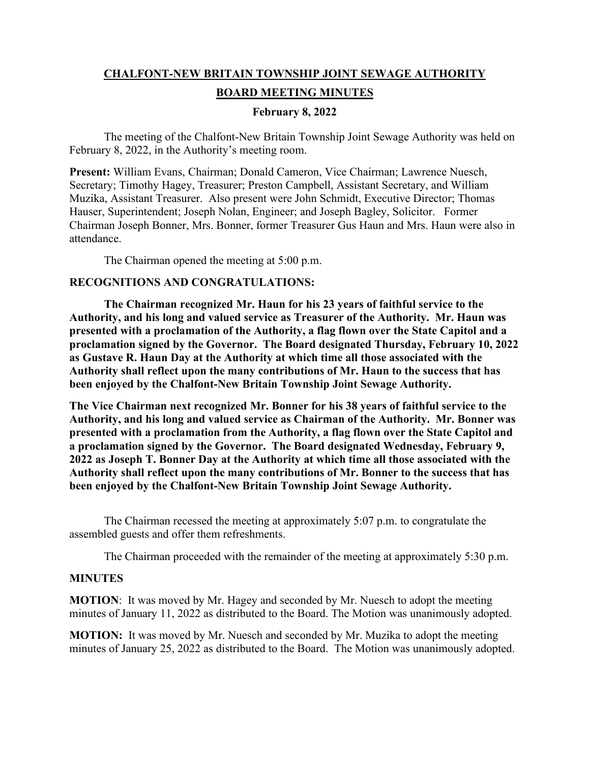# **CHALFONT-NEW BRITAIN TOWNSHIP JOINT SEWAGE AUTHORITY BOARD MEETING MINUTES**

### **February 8, 2022**

The meeting of the Chalfont-New Britain Township Joint Sewage Authority was held on February 8, 2022, in the Authority's meeting room.

**Present:** William Evans, Chairman; Donald Cameron, Vice Chairman; Lawrence Nuesch, Secretary; Timothy Hagey, Treasurer; Preston Campbell, Assistant Secretary, and William Muzika, Assistant Treasurer. Also present were John Schmidt, Executive Director; Thomas Hauser, Superintendent; Joseph Nolan, Engineer; and Joseph Bagley, Solicitor. Former Chairman Joseph Bonner, Mrs. Bonner, former Treasurer Gus Haun and Mrs. Haun were also in attendance.

The Chairman opened the meeting at 5:00 p.m.

# **RECOGNITIONS AND CONGRATULATIONS:**

**The Chairman recognized Mr. Haun for his 23 years of faithful service to the Authority, and his long and valued service as Treasurer of the Authority. Mr. Haun was presented with a proclamation of the Authority, a flag flown over the State Capitol and a proclamation signed by the Governor. The Board designated Thursday, February 10, 2022 as Gustave R. Haun Day at the Authority at which time all those associated with the Authority shall reflect upon the many contributions of Mr. Haun to the success that has been enjoyed by the Chalfont-New Britain Township Joint Sewage Authority.** 

**The Vice Chairman next recognized Mr. Bonner for his 38 years of faithful service to the Authority, and his long and valued service as Chairman of the Authority. Mr. Bonner was presented with a proclamation from the Authority, a flag flown over the State Capitol and a proclamation signed by the Governor. The Board designated Wednesday, February 9, 2022 as Joseph T. Bonner Day at the Authority at which time all those associated with the Authority shall reflect upon the many contributions of Mr. Bonner to the success that has been enjoyed by the Chalfont-New Britain Township Joint Sewage Authority.** 

The Chairman recessed the meeting at approximately 5:07 p.m. to congratulate the assembled guests and offer them refreshments.

The Chairman proceeded with the remainder of the meeting at approximately 5:30 p.m.

#### **MINUTES**

**MOTION**: It was moved by Mr. Hagey and seconded by Mr. Nuesch to adopt the meeting minutes of January 11, 2022 as distributed to the Board. The Motion was unanimously adopted.

**MOTION:** It was moved by Mr. Nuesch and seconded by Mr. Muzika to adopt the meeting minutes of January 25, 2022 as distributed to the Board. The Motion was unanimously adopted.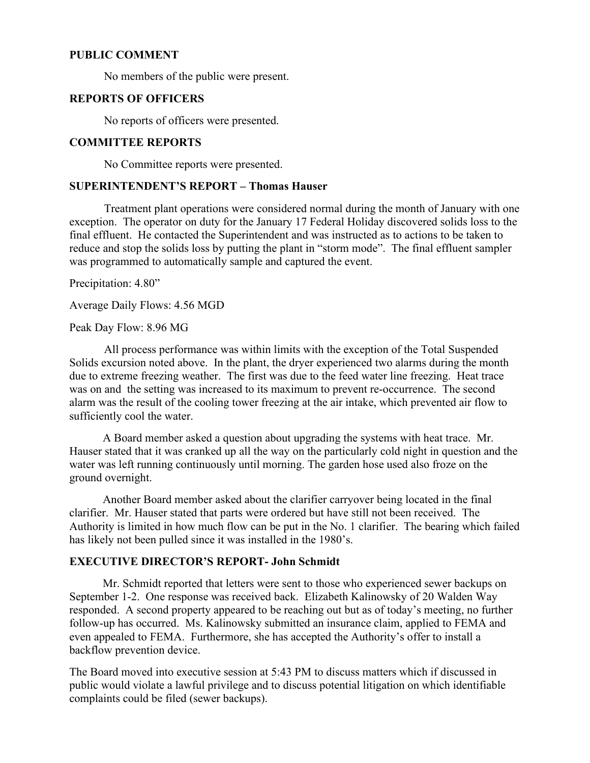## **PUBLIC COMMENT**

No members of the public were present.

# **REPORTS OF OFFICERS**

No reports of officers were presented.

#### **COMMITTEE REPORTS**

No Committee reports were presented.

# **SUPERINTENDENT'S REPORT – Thomas Hauser**

Treatment plant operations were considered normal during the month of January with one exception. The operator on duty for the January 17 Federal Holiday discovered solids loss to the final effluent. He contacted the Superintendent and was instructed as to actions to be taken to reduce and stop the solids loss by putting the plant in "storm mode". The final effluent sampler was programmed to automatically sample and captured the event.

Precipitation: 4.80"

Average Daily Flows: 4.56 MGD

Peak Day Flow: 8.96 MG

All process performance was within limits with the exception of the Total Suspended Solids excursion noted above. In the plant, the dryer experienced two alarms during the month due to extreme freezing weather. The first was due to the feed water line freezing. Heat trace was on and the setting was increased to its maximum to prevent re-occurrence. The second alarm was the result of the cooling tower freezing at the air intake, which prevented air flow to sufficiently cool the water.

 A Board member asked a question about upgrading the systems with heat trace. Mr. Hauser stated that it was cranked up all the way on the particularly cold night in question and the water was left running continuously until morning. The garden hose used also froze on the ground overnight.

 Another Board member asked about the clarifier carryover being located in the final clarifier. Mr. Hauser stated that parts were ordered but have still not been received. The Authority is limited in how much flow can be put in the No. 1 clarifier. The bearing which failed has likely not been pulled since it was installed in the 1980's.

# **EXECUTIVE DIRECTOR'S REPORT- John Schmidt**

 Mr. Schmidt reported that letters were sent to those who experienced sewer backups on September 1-2. One response was received back. Elizabeth Kalinowsky of 20 Walden Way responded. A second property appeared to be reaching out but as of today's meeting, no further follow-up has occurred. Ms. Kalinowsky submitted an insurance claim, applied to FEMA and even appealed to FEMA. Furthermore, she has accepted the Authority's offer to install a backflow prevention device.

The Board moved into executive session at 5:43 PM to discuss matters which if discussed in public would violate a lawful privilege and to discuss potential litigation on which identifiable complaints could be filed (sewer backups).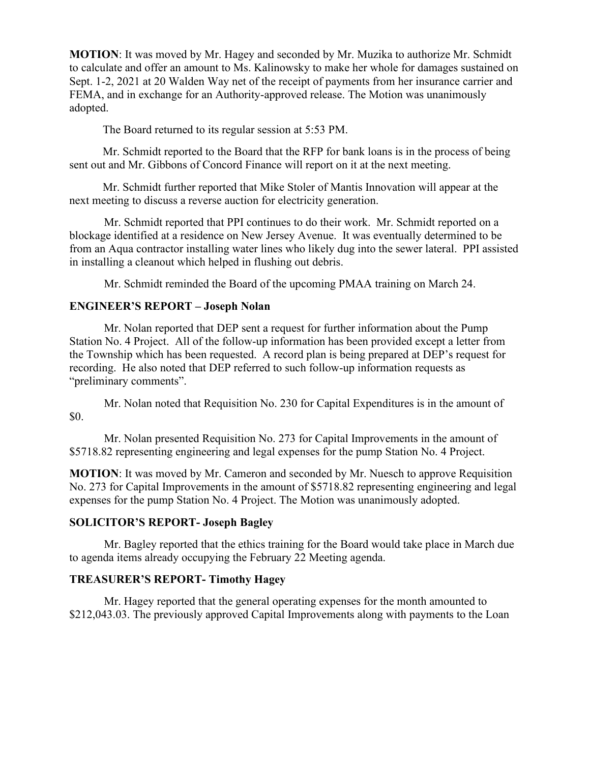**MOTION**: It was moved by Mr. Hagey and seconded by Mr. Muzika to authorize Mr. Schmidt to calculate and offer an amount to Ms. Kalinowsky to make her whole for damages sustained on Sept. 1-2, 2021 at 20 Walden Way net of the receipt of payments from her insurance carrier and FEMA, and in exchange for an Authority-approved release. The Motion was unanimously adopted.

The Board returned to its regular session at 5:53 PM.

 Mr. Schmidt reported to the Board that the RFP for bank loans is in the process of being sent out and Mr. Gibbons of Concord Finance will report on it at the next meeting.

 Mr. Schmidt further reported that Mike Stoler of Mantis Innovation will appear at the next meeting to discuss a reverse auction for electricity generation.

 Mr. Schmidt reported that PPI continues to do their work. Mr. Schmidt reported on a blockage identified at a residence on New Jersey Avenue. It was eventually determined to be from an Aqua contractor installing water lines who likely dug into the sewer lateral. PPI assisted in installing a cleanout which helped in flushing out debris.

Mr. Schmidt reminded the Board of the upcoming PMAA training on March 24.

### **ENGINEER'S REPORT – Joseph Nolan**

Mr. Nolan reported that DEP sent a request for further information about the Pump Station No. 4 Project. All of the follow-up information has been provided except a letter from the Township which has been requested. A record plan is being prepared at DEP's request for recording. He also noted that DEP referred to such follow-up information requests as "preliminary comments".

Mr. Nolan noted that Requisition No. 230 for Capital Expenditures is in the amount of \$0.

Mr. Nolan presented Requisition No. 273 for Capital Improvements in the amount of \$5718.82 representing engineering and legal expenses for the pump Station No. 4 Project.

**MOTION**: It was moved by Mr. Cameron and seconded by Mr. Nuesch to approve Requisition No. 273 for Capital Improvements in the amount of \$5718.82 representing engineering and legal expenses for the pump Station No. 4 Project. The Motion was unanimously adopted.

# **SOLICITOR'S REPORT- Joseph Bagley**

Mr. Bagley reported that the ethics training for the Board would take place in March due to agenda items already occupying the February 22 Meeting agenda.

# **TREASURER'S REPORT- Timothy Hagey**

Mr. Hagey reported that the general operating expenses for the month amounted to \$212,043.03. The previously approved Capital Improvements along with payments to the Loan